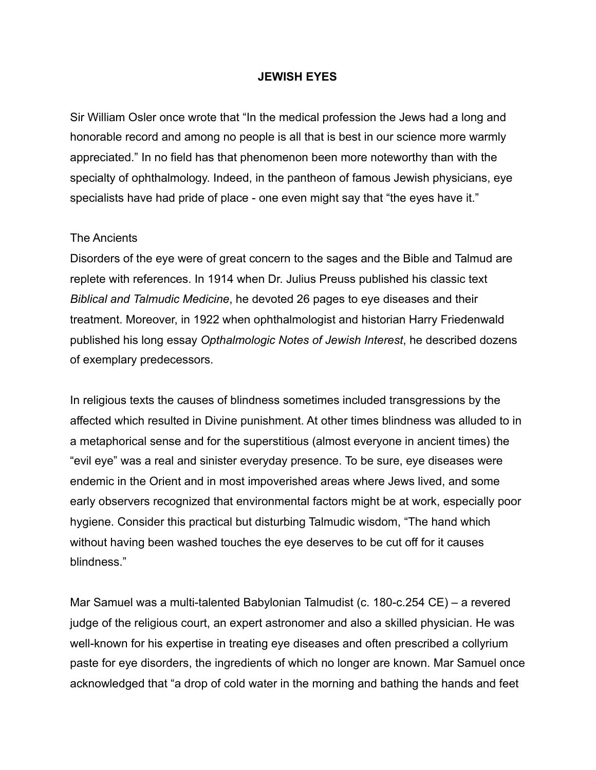# **JEWISH EYES**

Sir William Osler once wrote that "In the medical profession the Jews had a long and honorable record and among no people is all that is best in our science more warmly appreciated." In no field has that phenomenon been more noteworthy than with the specialty of ophthalmology. Indeed, in the pantheon of famous Jewish physicians, eye specialists have had pride of place - one even might say that "the eyes have it."

### The Ancients

Disorders of the eye were of great concern to the sages and the Bible and Talmud are replete with references. In 1914 when Dr. Julius Preuss published his classic text *Biblical and Talmudic Medicine*, he devoted 26 pages to eye diseases and their treatment. Moreover, in 1922 when ophthalmologist and historian Harry Friedenwald published his long essay *Opthalmologic Notes of Jewish Interest*, he described dozens of exemplary predecessors.

In religious texts the causes of blindness sometimes included transgressions by the affected which resulted in Divine punishment. At other times blindness was alluded to in a metaphorical sense and for the superstitious (almost everyone in ancient times) the "evil eye" was a real and sinister everyday presence. To be sure, eye diseases were endemic in the Orient and in most impoverished areas where Jews lived, and some early observers recognized that environmental factors might be at work, especially poor hygiene. Consider this practical but disturbing Talmudic wisdom, "The hand which without having been washed touches the eye deserves to be cut off for it causes blindness."

Mar Samuel was a multi-talented Babylonian Talmudist (c. 180-c.254 CE) – a revered judge of the religious court, an expert astronomer and also a skilled physician. He was well-known for his expertise in treating eye diseases and often prescribed a collyrium paste for eye disorders, the ingredients of which no longer are known. Mar Samuel once acknowledged that "a drop of cold water in the morning and bathing the hands and feet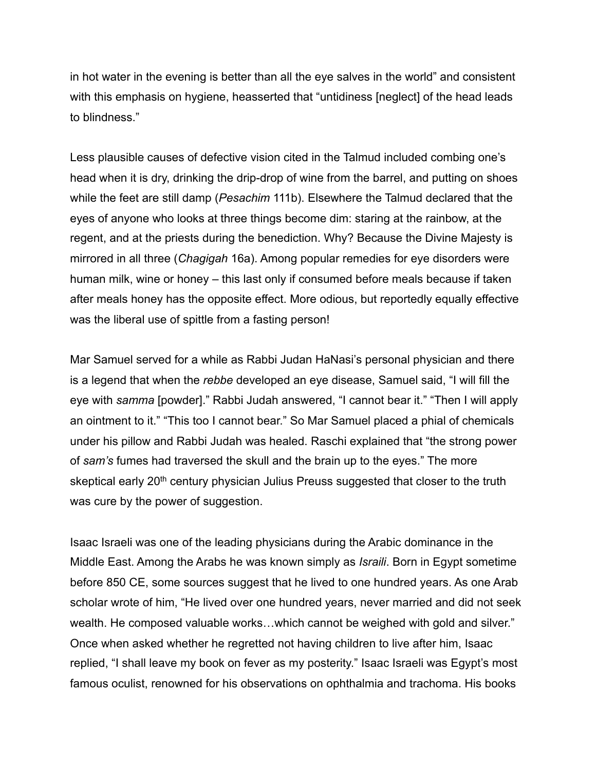in hot water in the evening is better than all the eye salves in the world" and consistent with this emphasis on hygiene, heasserted that "untidiness [neglect] of the head leads to blindness."

Less plausible causes of defective vision cited in the Talmud included combing one's head when it is dry, drinking the drip-drop of wine from the barrel, and putting on shoes while the feet are still damp (*Pesachim* 111b). Elsewhere the Talmud declared that the eyes of anyone who looks at three things become dim: staring at the rainbow, at the regent, and at the priests during the benediction. Why? Because the Divine Majesty is mirrored in all three (*Chagigah* 16a). Among popular remedies for eye disorders were human milk, wine or honey – this last only if consumed before meals because if taken after meals honey has the opposite effect. More odious, but reportedly equally effective was the liberal use of spittle from a fasting person!

Mar Samuel served for a while as Rabbi Judan HaNasi's personal physician and there is a legend that when the *rebbe* developed an eye disease, Samuel said, "I will fill the eye with *samma* [powder]." Rabbi Judah answered, "I cannot bear it." "Then I will apply an ointment to it." "This too I cannot bear." So Mar Samuel placed a phial of chemicals under his pillow and Rabbi Judah was healed. Raschi explained that "the strong power of *sam's* fumes had traversed the skull and the brain up to the eyes." The more skeptical early 20<sup>th</sup> century physician Julius Preuss suggested that closer to the truth was cure by the power of suggestion.

Isaac Israeli was one of the leading physicians during the Arabic dominance in the Middle East. Among the Arabs he was known simply as *Israili*. Born in Egypt sometime before 850 CE, some sources suggest that he lived to one hundred years. As one Arab scholar wrote of him, "He lived over one hundred years, never married and did not seek wealth. He composed valuable works…which cannot be weighed with gold and silver." Once when asked whether he regretted not having children to live after him, Isaac replied, "I shall leave my book on fever as my posterity." Isaac Israeli was Egypt's most famous oculist, renowned for his observations on ophthalmia and trachoma. His books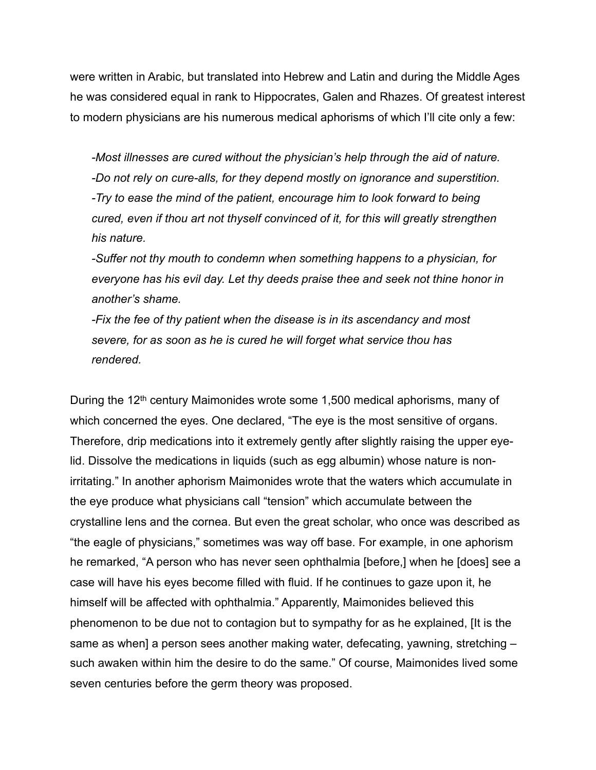were written in Arabic, but translated into Hebrew and Latin and during the Middle Ages he was considered equal in rank to Hippocrates, Galen and Rhazes. Of greatest interest to modern physicians are his numerous medical aphorisms of which I'll cite only a few:

*-Most illnesses are cured without the physician's help through the aid of nature. -Do not rely on cure-alls, for they depend mostly on ignorance and superstition. -Try to ease the mind of the patient, encourage him to look forward to being cured, even if thou art not thyself convinced of it, for this will greatly strengthen his nature.*

*-Suffer not thy mouth to condemn when something happens to a physician, for everyone has his evil day. Let thy deeds praise thee and seek not thine honor in another's shame.*

*-Fix the fee of thy patient when the disease is in its ascendancy and most severe, for as soon as he is cured he will forget what service thou has rendered.*

During the 12th century Maimonides wrote some 1,500 medical aphorisms, many of which concerned the eyes. One declared, "The eye is the most sensitive of organs. Therefore, drip medications into it extremely gently after slightly raising the upper eyelid. Dissolve the medications in liquids (such as egg albumin) whose nature is nonirritating." In another aphorism Maimonides wrote that the waters which accumulate in the eye produce what physicians call "tension" which accumulate between the crystalline lens and the cornea. But even the great scholar, who once was described as "the eagle of physicians," sometimes was way off base. For example, in one aphorism he remarked, "A person who has never seen ophthalmia [before,] when he [does] see a case will have his eyes become filled with fluid. If he continues to gaze upon it, he himself will be affected with ophthalmia." Apparently, Maimonides believed this phenomenon to be due not to contagion but to sympathy for as he explained, [It is the same as when] a person sees another making water, defecating, yawning, stretching – such awaken within him the desire to do the same." Of course, Maimonides lived some seven centuries before the germ theory was proposed.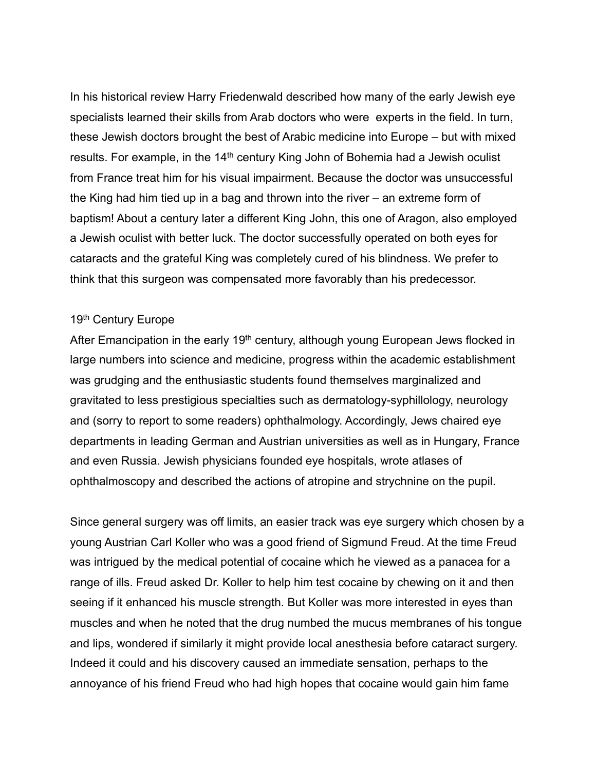In his historical review Harry Friedenwald described how many of the early Jewish eye specialists learned their skills from Arab doctors who were experts in the field. In turn, these Jewish doctors brought the best of Arabic medicine into Europe – but with mixed results. For example, in the  $14<sup>th</sup>$  century King John of Bohemia had a Jewish oculist from France treat him for his visual impairment. Because the doctor was unsuccessful the King had him tied up in a bag and thrown into the river – an extreme form of baptism! About a century later a different King John, this one of Aragon, also employed a Jewish oculist with better luck. The doctor successfully operated on both eyes for cataracts and the grateful King was completely cured of his blindness. We prefer to think that this surgeon was compensated more favorably than his predecessor.

# 19th Century Europe

After Emancipation in the early  $19<sup>th</sup>$  century, although young European Jews flocked in large numbers into science and medicine, progress within the academic establishment was grudging and the enthusiastic students found themselves marginalized and gravitated to less prestigious specialties such as dermatology-syphillology, neurology and (sorry to report to some readers) ophthalmology. Accordingly, Jews chaired eye departments in leading German and Austrian universities as well as in Hungary, France and even Russia. Jewish physicians founded eye hospitals, wrote atlases of ophthalmoscopy and described the actions of atropine and strychnine on the pupil.

Since general surgery was off limits, an easier track was eye surgery which chosen by a young Austrian Carl Koller who was a good friend of Sigmund Freud. At the time Freud was intrigued by the medical potential of cocaine which he viewed as a panacea for a range of ills. Freud asked Dr. Koller to help him test cocaine by chewing on it and then seeing if it enhanced his muscle strength. But Koller was more interested in eyes than muscles and when he noted that the drug numbed the mucus membranes of his tongue and lips, wondered if similarly it might provide local anesthesia before cataract surgery. Indeed it could and his discovery caused an immediate sensation, perhaps to the annoyance of his friend Freud who had high hopes that cocaine would gain him fame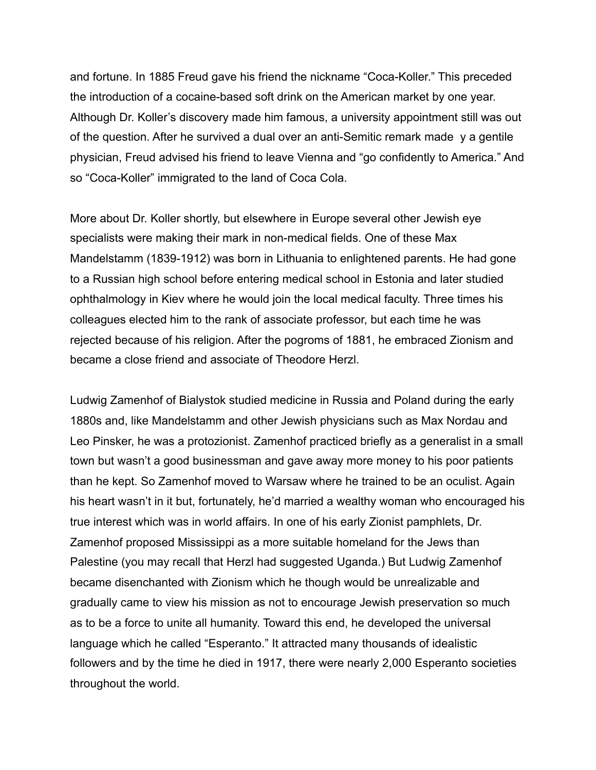and fortune. In 1885 Freud gave his friend the nickname "Coca-Koller." This preceded the introduction of a cocaine-based soft drink on the American market by one year. Although Dr. Koller's discovery made him famous, a university appointment still was out of the question. After he survived a dual over an anti-Semitic remark made y a gentile physician, Freud advised his friend to leave Vienna and "go confidently to America." And so "Coca-Koller" immigrated to the land of Coca Cola.

More about Dr. Koller shortly, but elsewhere in Europe several other Jewish eye specialists were making their mark in non-medical fields. One of these Max Mandelstamm (1839-1912) was born in Lithuania to enlightened parents. He had gone to a Russian high school before entering medical school in Estonia and later studied ophthalmology in Kiev where he would join the local medical faculty. Three times his colleagues elected him to the rank of associate professor, but each time he was rejected because of his religion. After the pogroms of 1881, he embraced Zionism and became a close friend and associate of Theodore Herzl.

Ludwig Zamenhof of Bialystok studied medicine in Russia and Poland during the early 1880s and, like Mandelstamm and other Jewish physicians such as Max Nordau and Leo Pinsker, he was a protozionist. Zamenhof practiced briefly as a generalist in a small town but wasn't a good businessman and gave away more money to his poor patients than he kept. So Zamenhof moved to Warsaw where he trained to be an oculist. Again his heart wasn't in it but, fortunately, he'd married a wealthy woman who encouraged his true interest which was in world affairs. In one of his early Zionist pamphlets, Dr. Zamenhof proposed Mississippi as a more suitable homeland for the Jews than Palestine (you may recall that Herzl had suggested Uganda.) But Ludwig Zamenhof became disenchanted with Zionism which he though would be unrealizable and gradually came to view his mission as not to encourage Jewish preservation so much as to be a force to unite all humanity. Toward this end, he developed the universal language which he called "Esperanto." It attracted many thousands of idealistic followers and by the time he died in 1917, there were nearly 2,000 Esperanto societies throughout the world.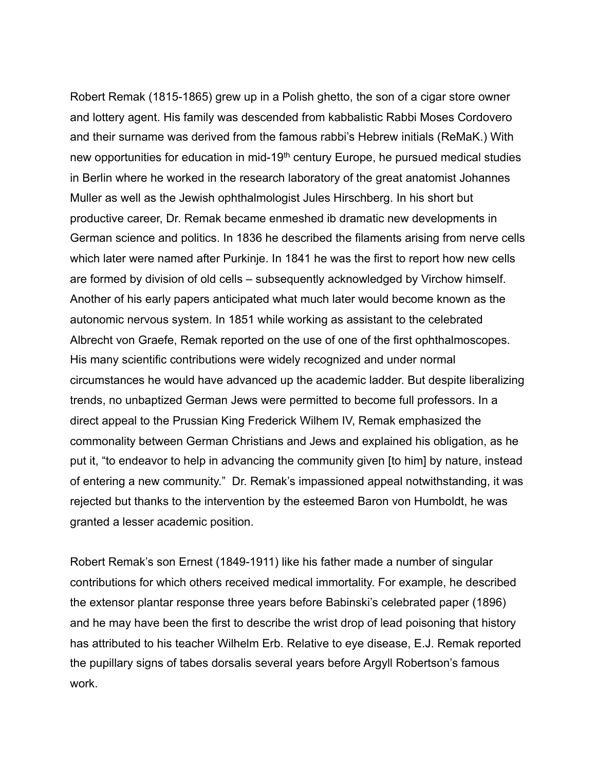Robert Remak (1815-1865) grew up in a Polish ghetto, the son of a cigar store owner and lottery agent. His family was descended from kabbalistic Rabbi Moses Cordovero and their surname was derived from the famous rabbi's Hebrew initials (ReMaK.) With new opportunities for education in mid-19<sup>th</sup> century Europe, he pursued medical studies in Berlin where he worked in the research laboratory of the great anatomist Johannes Muller as well as the Jewish ophthalmologist Jules Hirschberg. In his short but productive career, Dr. Remak became enmeshed ib dramatic new developments in German science and politics. In 1836 he described the filaments arising from nerve cells which later were named after Purkinje. In 1841 he was the first to report how new cells are formed by division of old cells – subsequently acknowledged by Virchow himself. Another of his early papers anticipated what much later would become known as the autonomic nervous system. In 1851 while working as assistant to the celebrated Albrecht von Graefe, Remak reported on the use of one of the first ophthalmoscopes. His many scientific contributions were widely recognized and under normal circumstances he would have advanced up the academic ladder. But despite liberalizing trends, no unbaptized German Jews were permitted to become full professors. In a direct appeal to the Prussian King Frederick Wilhem IV, Remak emphasized the commonality between German Christians and Jews and explained his obligation, as he put it, "to endeavor to help in advancing the community given [to him] by nature, instead of entering a new community." Dr. Remak's impassioned appeal notwithstanding, it was rejected but thanks to the intervention by the esteemed Baron von Humboldt, he was granted a lesser academic position.

Robert Remak's son Ernest (1849-1911) like his father made a number of singular contributions for which others received medical immortality. For example, he described the extensor plantar response three years before Babinski's celebrated paper (1896) and he may have been the first to describe the wrist drop of lead poisoning that history has attributed to his teacher Wilhelm Erb. Relative to eye disease, E.J. Remak reported the pupillary signs of tabes dorsalis several years before Argyll Robertson's famous work.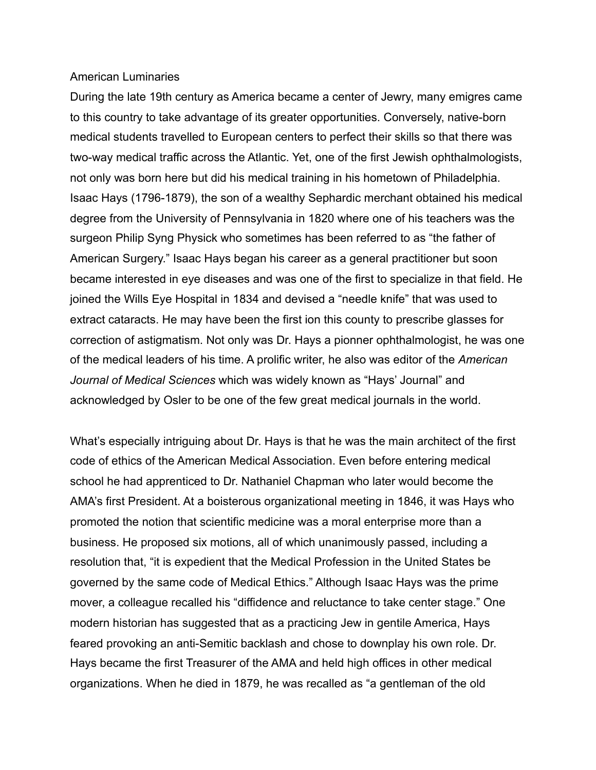### American Luminaries

During the late 19th century as America became a center of Jewry, many emigres came to this country to take advantage of its greater opportunities. Conversely, native-born medical students travelled to European centers to perfect their skills so that there was two-way medical traffic across the Atlantic. Yet, one of the first Jewish ophthalmologists, not only was born here but did his medical training in his hometown of Philadelphia. Isaac Hays (1796-1879), the son of a wealthy Sephardic merchant obtained his medical degree from the University of Pennsylvania in 1820 where one of his teachers was the surgeon Philip Syng Physick who sometimes has been referred to as "the father of American Surgery." Isaac Hays began his career as a general practitioner but soon became interested in eye diseases and was one of the first to specialize in that field. He joined the Wills Eye Hospital in 1834 and devised a "needle knife" that was used to extract cataracts. He may have been the first ion this county to prescribe glasses for correction of astigmatism. Not only was Dr. Hays a pionner ophthalmologist, he was one of the medical leaders of his time. A prolific writer, he also was editor of the *American Journal of Medical Sciences* which was widely known as "Hays' Journal" and acknowledged by Osler to be one of the few great medical journals in the world.

What's especially intriguing about Dr. Hays is that he was the main architect of the first code of ethics of the American Medical Association. Even before entering medical school he had apprenticed to Dr. Nathaniel Chapman who later would become the AMA's first President. At a boisterous organizational meeting in 1846, it was Hays who promoted the notion that scientific medicine was a moral enterprise more than a business. He proposed six motions, all of which unanimously passed, including a resolution that, "it is expedient that the Medical Profession in the United States be governed by the same code of Medical Ethics." Although Isaac Hays was the prime mover, a colleague recalled his "diffidence and reluctance to take center stage." One modern historian has suggested that as a practicing Jew in gentile America, Hays feared provoking an anti-Semitic backlash and chose to downplay his own role. Dr. Hays became the first Treasurer of the AMA and held high offices in other medical organizations. When he died in 1879, he was recalled as "a gentleman of the old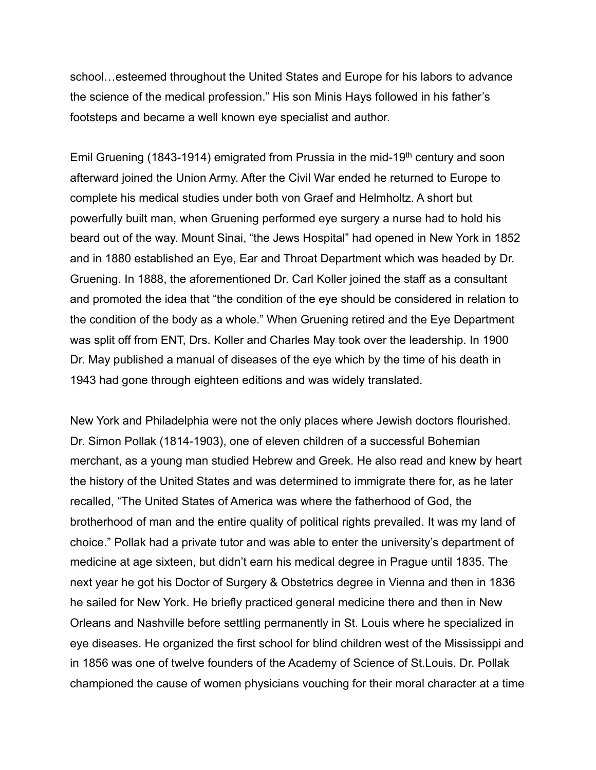school…esteemed throughout the United States and Europe for his labors to advance the science of the medical profession." His son Minis Hays followed in his father's footsteps and became a well known eye specialist and author.

Emil Gruening (1843-1914) emigrated from Prussia in the mid-19th century and soon afterward joined the Union Army. After the Civil War ended he returned to Europe to complete his medical studies under both von Graef and Helmholtz. A short but powerfully built man, when Gruening performed eye surgery a nurse had to hold his beard out of the way. Mount Sinai, "the Jews Hospital" had opened in New York in 1852 and in 1880 established an Eye, Ear and Throat Department which was headed by Dr. Gruening. In 1888, the aforementioned Dr. Carl Koller joined the staff as a consultant and promoted the idea that "the condition of the eye should be considered in relation to the condition of the body as a whole." When Gruening retired and the Eye Department was split off from ENT, Drs. Koller and Charles May took over the leadership. In 1900 Dr. May published a manual of diseases of the eye which by the time of his death in 1943 had gone through eighteen editions and was widely translated.

New York and Philadelphia were not the only places where Jewish doctors flourished. Dr. Simon Pollak (1814-1903), one of eleven children of a successful Bohemian merchant, as a young man studied Hebrew and Greek. He also read and knew by heart the history of the United States and was determined to immigrate there for, as he later recalled, "The United States of America was where the fatherhood of God, the brotherhood of man and the entire quality of political rights prevailed. It was my land of choice." Pollak had a private tutor and was able to enter the university's department of medicine at age sixteen, but didn't earn his medical degree in Prague until 1835. The next year he got his Doctor of Surgery & Obstetrics degree in Vienna and then in 1836 he sailed for New York. He briefly practiced general medicine there and then in New Orleans and Nashville before settling permanently in St. Louis where he specialized in eye diseases. He organized the first school for blind children west of the Mississippi and in 1856 was one of twelve founders of the Academy of Science of St.Louis. Dr. Pollak championed the cause of women physicians vouching for their moral character at a time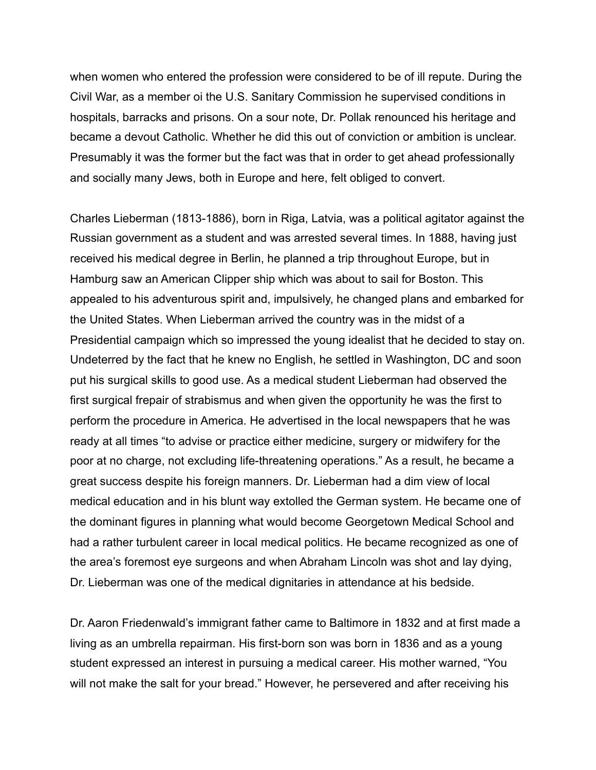when women who entered the profession were considered to be of ill repute. During the Civil War, as a member oi the U.S. Sanitary Commission he supervised conditions in hospitals, barracks and prisons. On a sour note, Dr. Pollak renounced his heritage and became a devout Catholic. Whether he did this out of conviction or ambition is unclear. Presumably it was the former but the fact was that in order to get ahead professionally and socially many Jews, both in Europe and here, felt obliged to convert.

Charles Lieberman (1813-1886), born in Riga, Latvia, was a political agitator against the Russian government as a student and was arrested several times. In 1888, having just received his medical degree in Berlin, he planned a trip throughout Europe, but in Hamburg saw an American Clipper ship which was about to sail for Boston. This appealed to his adventurous spirit and, impulsively, he changed plans and embarked for the United States. When Lieberman arrived the country was in the midst of a Presidential campaign which so impressed the young idealist that he decided to stay on. Undeterred by the fact that he knew no English, he settled in Washington, DC and soon put his surgical skills to good use. As a medical student Lieberman had observed the first surgical frepair of strabismus and when given the opportunity he was the first to perform the procedure in America. He advertised in the local newspapers that he was ready at all times "to advise or practice either medicine, surgery or midwifery for the poor at no charge, not excluding life-threatening operations." As a result, he became a great success despite his foreign manners. Dr. Lieberman had a dim view of local medical education and in his blunt way extolled the German system. He became one of the dominant figures in planning what would become Georgetown Medical School and had a rather turbulent career in local medical politics. He became recognized as one of the area's foremost eye surgeons and when Abraham Lincoln was shot and lay dying, Dr. Lieberman was one of the medical dignitaries in attendance at his bedside.

Dr. Aaron Friedenwald's immigrant father came to Baltimore in 1832 and at first made a living as an umbrella repairman. His first-born son was born in 1836 and as a young student expressed an interest in pursuing a medical career. His mother warned, "You will not make the salt for your bread." However, he persevered and after receiving his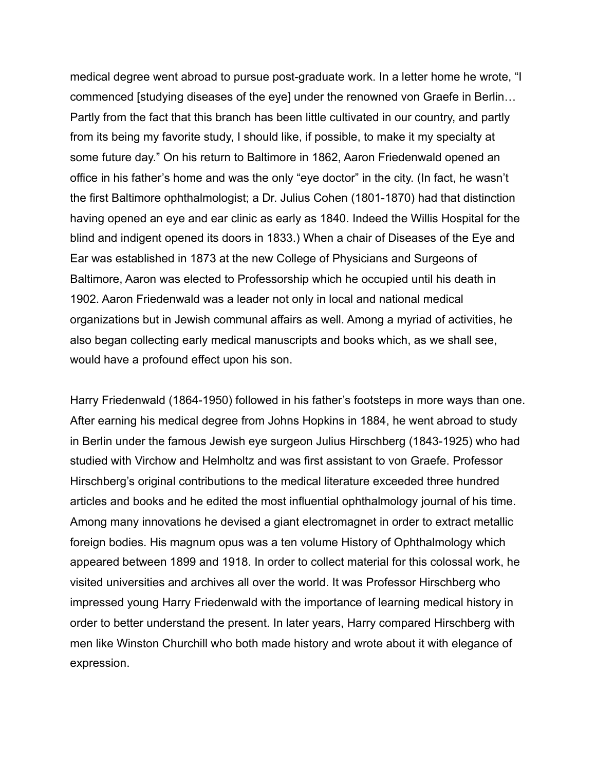medical degree went abroad to pursue post-graduate work. In a letter home he wrote, "I commenced [studying diseases of the eye] under the renowned von Graefe in Berlin… Partly from the fact that this branch has been little cultivated in our country, and partly from its being my favorite study, I should like, if possible, to make it my specialty at some future day." On his return to Baltimore in 1862, Aaron Friedenwald opened an office in his father's home and was the only "eye doctor" in the city. (In fact, he wasn't the first Baltimore ophthalmologist; a Dr. Julius Cohen (1801-1870) had that distinction having opened an eye and ear clinic as early as 1840. Indeed the Willis Hospital for the blind and indigent opened its doors in 1833.) When a chair of Diseases of the Eye and Ear was established in 1873 at the new College of Physicians and Surgeons of Baltimore, Aaron was elected to Professorship which he occupied until his death in 1902. Aaron Friedenwald was a leader not only in local and national medical organizations but in Jewish communal affairs as well. Among a myriad of activities, he also began collecting early medical manuscripts and books which, as we shall see, would have a profound effect upon his son.

Harry Friedenwald (1864-1950) followed in his father's footsteps in more ways than one. After earning his medical degree from Johns Hopkins in 1884, he went abroad to study in Berlin under the famous Jewish eye surgeon Julius Hirschberg (1843-1925) who had studied with Virchow and Helmholtz and was first assistant to von Graefe. Professor Hirschberg's original contributions to the medical literature exceeded three hundred articles and books and he edited the most influential ophthalmology journal of his time. Among many innovations he devised a giant electromagnet in order to extract metallic foreign bodies. His magnum opus was a ten volume History of Ophthalmology which appeared between 1899 and 1918. In order to collect material for this colossal work, he visited universities and archives all over the world. It was Professor Hirschberg who impressed young Harry Friedenwald with the importance of learning medical history in order to better understand the present. In later years, Harry compared Hirschberg with men like Winston Churchill who both made history and wrote about it with elegance of expression.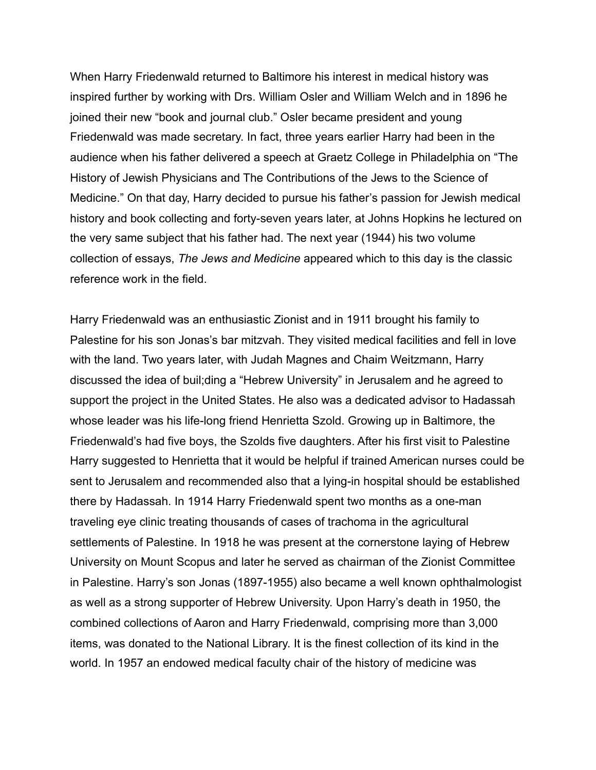When Harry Friedenwald returned to Baltimore his interest in medical history was inspired further by working with Drs. William Osler and William Welch and in 1896 he joined their new "book and journal club." Osler became president and young Friedenwald was made secretary. In fact, three years earlier Harry had been in the audience when his father delivered a speech at Graetz College in Philadelphia on "The History of Jewish Physicians and The Contributions of the Jews to the Science of Medicine." On that day, Harry decided to pursue his father's passion for Jewish medical history and book collecting and forty-seven years later, at Johns Hopkins he lectured on the very same subject that his father had. The next year (1944) his two volume collection of essays, *The Jews and Medicine* appeared which to this day is the classic reference work in the field.

Harry Friedenwald was an enthusiastic Zionist and in 1911 brought his family to Palestine for his son Jonas's bar mitzvah. They visited medical facilities and fell in love with the land. Two years later, with Judah Magnes and Chaim Weitzmann, Harry discussed the idea of buil;ding a "Hebrew University" in Jerusalem and he agreed to support the project in the United States. He also was a dedicated advisor to Hadassah whose leader was his life-long friend Henrietta Szold. Growing up in Baltimore, the Friedenwald's had five boys, the Szolds five daughters. After his first visit to Palestine Harry suggested to Henrietta that it would be helpful if trained American nurses could be sent to Jerusalem and recommended also that a lying-in hospital should be established there by Hadassah. In 1914 Harry Friedenwald spent two months as a one-man traveling eye clinic treating thousands of cases of trachoma in the agricultural settlements of Palestine. In 1918 he was present at the cornerstone laying of Hebrew University on Mount Scopus and later he served as chairman of the Zionist Committee in Palestine. Harry's son Jonas (1897-1955) also became a well known ophthalmologist as well as a strong supporter of Hebrew University. Upon Harry's death in 1950, the combined collections of Aaron and Harry Friedenwald, comprising more than 3,000 items, was donated to the National Library. It is the finest collection of its kind in the world. In 1957 an endowed medical faculty chair of the history of medicine was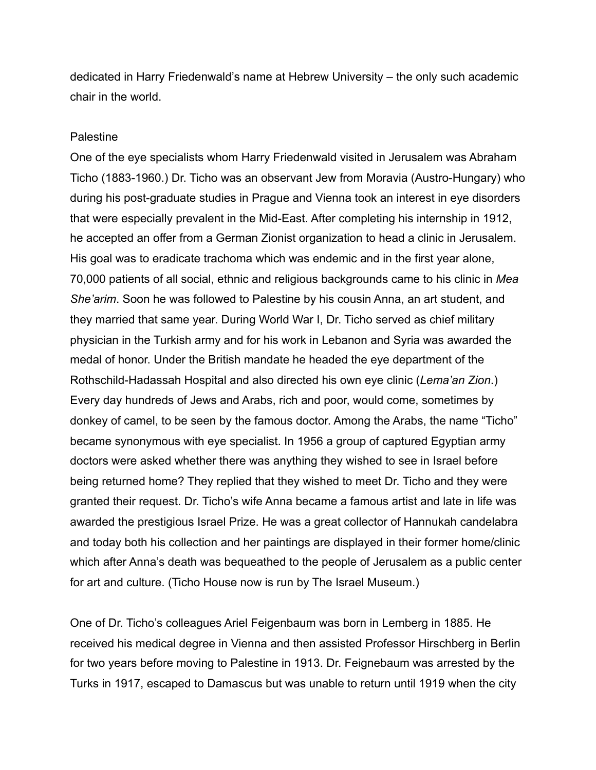dedicated in Harry Friedenwald's name at Hebrew University – the only such academic chair in the world.

## Palestine

One of the eye specialists whom Harry Friedenwald visited in Jerusalem was Abraham Ticho (1883-1960.) Dr. Ticho was an observant Jew from Moravia (Austro-Hungary) who during his post-graduate studies in Prague and Vienna took an interest in eye disorders that were especially prevalent in the Mid-East. After completing his internship in 1912, he accepted an offer from a German Zionist organization to head a clinic in Jerusalem. His goal was to eradicate trachoma which was endemic and in the first year alone, 70,000 patients of all social, ethnic and religious backgrounds came to his clinic in *Mea She'arim*. Soon he was followed to Palestine by his cousin Anna, an art student, and they married that same year. During World War I, Dr. Ticho served as chief military physician in the Turkish army and for his work in Lebanon and Syria was awarded the medal of honor. Under the British mandate he headed the eye department of the Rothschild-Hadassah Hospital and also directed his own eye clinic (*Lema'an Zion*.) Every day hundreds of Jews and Arabs, rich and poor, would come, sometimes by donkey of camel, to be seen by the famous doctor. Among the Arabs, the name "Ticho" became synonymous with eye specialist. In 1956 a group of captured Egyptian army doctors were asked whether there was anything they wished to see in Israel before being returned home? They replied that they wished to meet Dr. Ticho and they were granted their request. Dr. Ticho's wife Anna became a famous artist and late in life was awarded the prestigious Israel Prize. He was a great collector of Hannukah candelabra and today both his collection and her paintings are displayed in their former home/clinic which after Anna's death was bequeathed to the people of Jerusalem as a public center for art and culture. (Ticho House now is run by The Israel Museum.)

One of Dr. Ticho's colleagues Ariel Feigenbaum was born in Lemberg in 1885. He received his medical degree in Vienna and then assisted Professor Hirschberg in Berlin for two years before moving to Palestine in 1913. Dr. Feignebaum was arrested by the Turks in 1917, escaped to Damascus but was unable to return until 1919 when the city